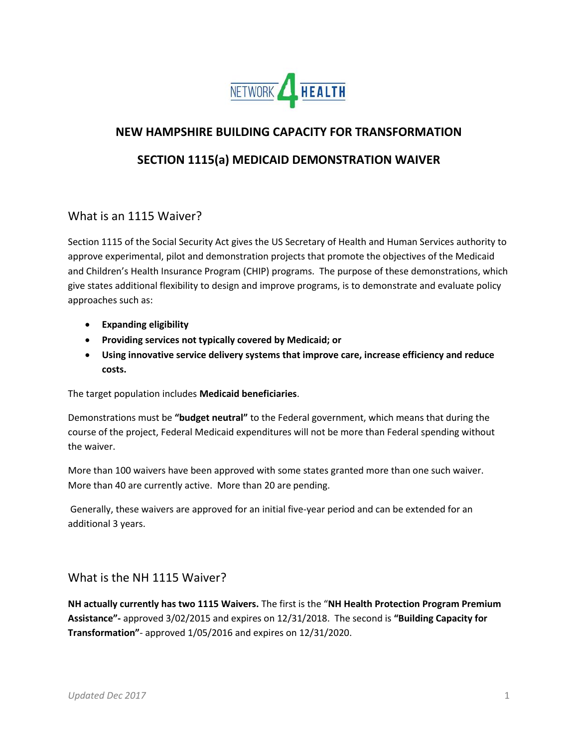

# **NEW HAMPSHIRE BUILDING CAPACITY FOR TRANSFORMATION**

## **SECTION 1115(a) MEDICAID DEMONSTRATION WAIVER**

### What is an 1115 Waiver?

Section 1115 of the Social Security Act gives the US Secretary of Health and Human Services authority to approve experimental, pilot and demonstration projects that promote the objectives of the Medicaid and Children's Health Insurance Program (CHIP) programs. The purpose of these demonstrations, which give states additional flexibility to design and improve programs, is to demonstrate and evaluate policy approaches such as:

- **Expanding eligibility**
- **Providing services not typically covered by Medicaid; or**
- **Using innovative service delivery systems that improve care, increase efficiency and reduce costs.**

The target population includes **Medicaid beneficiaries**.

Demonstrations must be **"budget neutral"** to the Federal government, which means that during the course of the project, Federal Medicaid expenditures will not be more than Federal spending without the waiver.

More than 100 waivers have been approved with some states granted more than one such waiver. More than 40 are currently active. More than 20 are pending.

Generally, these waivers are approved for an initial five-year period and can be extended for an additional 3 years.

### What is the NH 1115 Waiver?

**NH actually currently has two 1115 Waivers.** The first is the "**NH Health Protection Program Premium Assistance"-** approved 3/02/2015 and expires on 12/31/2018. The second is **"Building Capacity for Transformation"**- approved 1/05/2016 and expires on 12/31/2020.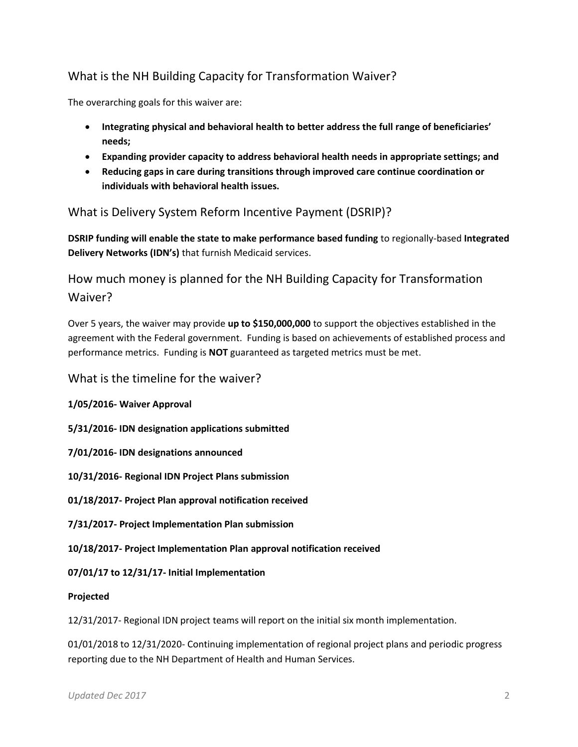# What is the NH Building Capacity for Transformation Waiver?

The overarching goals for this waiver are:

- **Integrating physical and behavioral health to better address the full range of beneficiaries' needs;**
- **Expanding provider capacity to address behavioral health needs in appropriate settings; and**
- **Reducing gaps in care during transitions through improved care continue coordination or individuals with behavioral health issues.**

## What is Delivery System Reform Incentive Payment (DSRIP)?

**DSRIP funding will enable the state to make performance based funding** to regionally-based **Integrated Delivery Networks (IDN's)** that furnish Medicaid services.

How much money is planned for the NH Building Capacity for Transformation Waiver?

Over 5 years, the waiver may provide **up to \$150,000,000** to support the objectives established in the agreement with the Federal government. Funding is based on achievements of established process and performance metrics. Funding is **NOT** guaranteed as targeted metrics must be met.

#### What is the timeline for the waiver?

**1/05/2016- Waiver Approval**

**5/31/2016- IDN designation applications submitted**

**7/01/2016- IDN designations announced**

**10/31/2016- Regional IDN Project Plans submission**

**01/18/2017- Project Plan approval notification received**

**7/31/2017- Project Implementation Plan submission**

**10/18/2017- Project Implementation Plan approval notification received**

**07/01/17 to 12/31/17- Initial Implementation**

**Projected**

12/31/2017- Regional IDN project teams will report on the initial six month implementation.

01/01/2018 to 12/31/2020- Continuing implementation of regional project plans and periodic progress reporting due to the NH Department of Health and Human Services.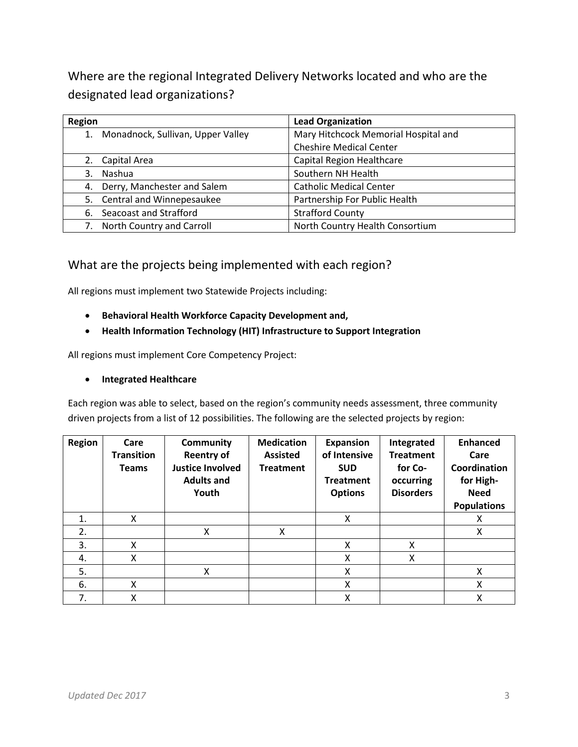Where are the regional Integrated Delivery Networks located and who are the designated lead organizations?

| Region                            | <b>Lead Organization</b>             |
|-----------------------------------|--------------------------------------|
| Monadnock, Sullivan, Upper Valley | Mary Hitchcock Memorial Hospital and |
|                                   | <b>Cheshire Medical Center</b>       |
| 2. Capital Area                   | Capital Region Healthcare            |
| Nashua<br>3.                      | Southern NH Health                   |
| 4. Derry, Manchester and Salem    | <b>Catholic Medical Center</b>       |
| Central and Winnepesaukee<br>5.   | Partnership For Public Health        |
| Seacoast and Strafford<br>6.      | <b>Strafford County</b>              |
| North Country and Carroll         | North Country Health Consortium      |

## What are the projects being implemented with each region?

All regions must implement two Statewide Projects including:

- **Behavioral Health Workforce Capacity Development and,**
- **Health Information Technology (HIT) Infrastructure to Support Integration**

All regions must implement Core Competency Project:

• **Integrated Healthcare**

Each region was able to select, based on the region's community needs assessment, three community driven projects from a list of 12 possibilities. The following are the selected projects by region:

| <b>Region</b> | Care<br><b>Transition</b><br><b>Teams</b> | Community<br><b>Reentry of</b><br><b>Justice Involved</b><br><b>Adults and</b><br>Youth | <b>Medication</b><br><b>Assisted</b><br><b>Treatment</b> | <b>Expansion</b><br>of Intensive<br><b>SUD</b><br><b>Treatment</b><br><b>Options</b> | Integrated<br><b>Treatment</b><br>for Co-<br>occurring<br><b>Disorders</b> | <b>Enhanced</b><br>Care<br>Coordination<br>for High-<br><b>Need</b><br><b>Populations</b> |
|---------------|-------------------------------------------|-----------------------------------------------------------------------------------------|----------------------------------------------------------|--------------------------------------------------------------------------------------|----------------------------------------------------------------------------|-------------------------------------------------------------------------------------------|
| 1.            | X                                         |                                                                                         |                                                          | X                                                                                    |                                                                            | x                                                                                         |
| 2.            |                                           | x                                                                                       | x                                                        |                                                                                      |                                                                            | x                                                                                         |
| 3.            | X                                         |                                                                                         |                                                          | X                                                                                    | x                                                                          |                                                                                           |
| 4.            | X                                         |                                                                                         |                                                          | X                                                                                    | X                                                                          |                                                                                           |
| 5.            |                                           | X                                                                                       |                                                          | X                                                                                    |                                                                            | X                                                                                         |
| 6.            | X                                         |                                                                                         |                                                          | X                                                                                    |                                                                            | X                                                                                         |
| 7.            | χ                                         |                                                                                         |                                                          | X                                                                                    |                                                                            | X                                                                                         |